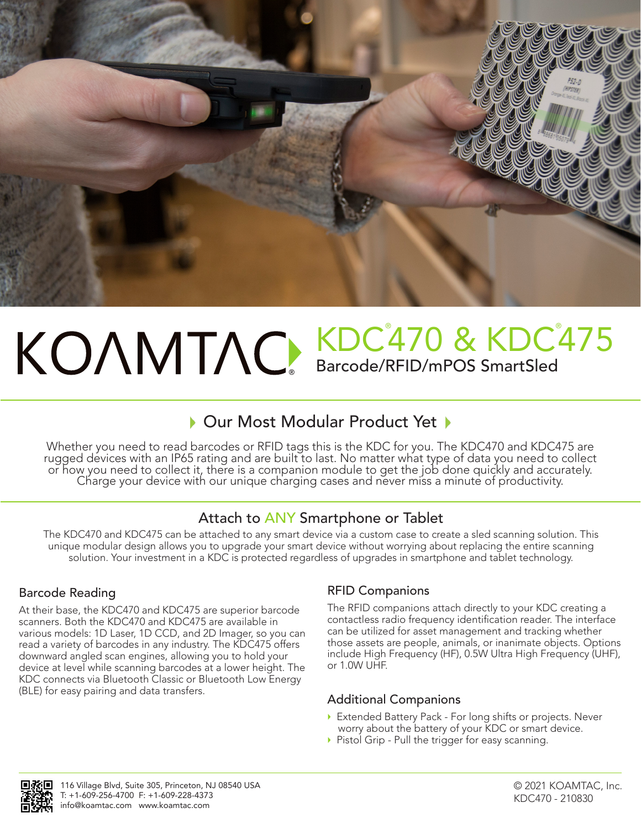

## ® KDC<sup>°</sup>470 & KDC<sup>°</sup>475 Barcode/RFID/mPOS SmartSled

## ▶ Our Most Modular Product Yet ▶

Whether you need to read barcodes or RFID tags this is the KDC for you. The KDC470 and KDC475 are rugged devices with an IP65 rating and are built to last. No matter what type of data you need to collect or how you need to collect it, there is a companion module to get the job done quickly and accurately.<br>Charge your device with our unique charging cases and never miss a minute of productivity.

## Attach to ANY Smartphone or Tablet

The KDC470 and KDC475 can be attached to any smart device via a custom case to create a sled scanning solution. This unique modular design allows you to upgrade your smart device without worrying about replacing the entire scanning solution. Your investment in a KDC is protected regardless of upgrades in smartphone and tablet technology.

## Barcode Reading

At their base, the KDC470 and KDC475 are superior barcode scanners. Both the KDC470 and KDC475 are available in various models: 1D Laser, 1D CCD, and 2D Imager, so you can read a variety of barcodes in any industry. The KDC475 offers downward angled scan engines, allowing you to hold your device at level while scanning barcodes at a lower height. The KDC connects via Bluetooth Classic or Bluetooth Low Energy (BLE) for easy pairing and data transfers.

## RFID Companions

The RFID companions attach directly to your KDC creating a contactless radio frequency identification reader. The interface can be utilized for asset management and tracking whether those assets are people, animals, or inanimate objects. Options include High Frequency (HF), 0.5W Ultra High Frequency (UHF), or 1.0W UHF.

## Additional Companions

- Extended Battery Pack For long shifts or projects. Never worry about the battery of your KDC or smart device.
- Pistol Grip Pull the trigger for easy scanning.